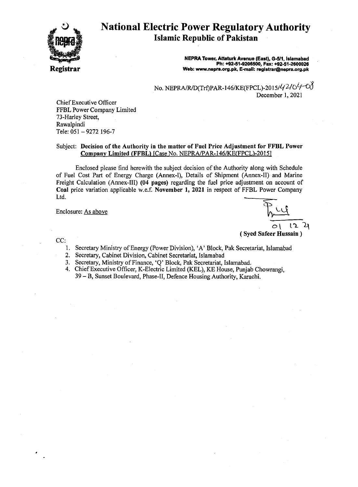

# National Electric Power Regulatory Authority Islamic Republic of Pakistan

NEPRA Tower. Attaturk Avenue (East). G-5I1. Islamabad Ph: +92-51-9206500, Fax: +92·51·2600026 Web: www.nepra.org.pk. E-mail: registrar@nepra.org.pk

No. *NEPRAIRJD(Trt)PAR-146JKE(FPCL)-20151L{210<sup>L</sup>I-00* December 1, 2021

Chief Executive Officer FFBL Power Company Limited 73-Harley Street, Rawalpindi Tele: 051 - 9272 196-7

#### Subject: Decision of the Authority in the matter of Fuel Price Adjustment for FFBL Power Company Limited (FFBL) [Case No. NEPRA/PAR-146/KE(FPCL)-2015]

Enclosed please find herewith the subject decision of the Authority along with Schedule of Fuel Cost Part of Energy Charge (Annex-I), Details of Shipment (Annex-II) and Marine Freight Calculation (Annex-III) (04 pages) regarding the fuel price adjustment on account of Coal price variation applicable w.e.f. November 1, 2021 in respect of FFBL Power Company Ltd.

Enclosure: As above

01 12 4

( Syed Safeer Hussain)

CC:

- 1. Secretary Ministry of Energy (Power Division), 'A' Block, Pak Secretariat, Islamabad
- 2. Secretary, Cabinet Division, Cabinet Secretariat, Islamabad
- 3. Secretary, Ministry of Finance, 'Q' Block, Pak Secretariat, Islamabad.
- 4. Chief Executive Officer, K-Electric Limited (KEL), KE House, Punjab Chowrangi, 39 - B, Sunset Boulevard, Phase-II, Defence Housing Authority, Karachi.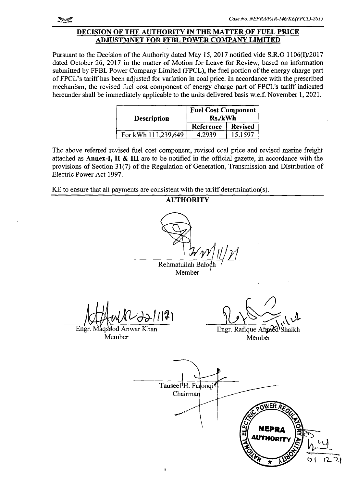#### DECISION OF THE AUTHORITY IN THE MATTER OF FUEL PRICE ADJUSTMNET FOR FFBL POWER COMPANY LIMITED

Pursuant to the Decision of the Authority dated May 15,2017 notified vide S.R.O 1106(I)/2017 dated October 26, 2017 in the matter of Motion for Leave for Review, based on information submitted by FFBL Power Company Limited (FPCL), the fuel portion of the energy charge part ofFPCL's tariff has been adjusted for variation in coal price. In accordance with the prescribed mechanism, the revised fuel cost component of energy charge part of FPCL's tariff indicated hereunder shall be immediately applicable to the units delivered basis w.e.f. November 1,2021.

| <b>Description</b>  | <b>Fuel Cost Component</b><br><b>Rs./kWh</b> |                |  |
|---------------------|----------------------------------------------|----------------|--|
|                     | Reference                                    | <b>Revised</b> |  |
| For kWh 111,239,649 | 4.2939                                       | 15.1597        |  |

The above referred revised fuel cost component, revised coal price and revised marine freight attached as Annex-I, II & III are to be notified in the official gazette, in accordance with the provisions of Section 31(7) of the Regulation of Generation, Transmission and Distribution of Electric Power Act 1997.

KE to ensure that all payments are consistent with the tariff determination(s).

AUTHORITY Rehmatullah Ba Member Engr. Maqsood Anwar Khan Engr. Rafique Ahmed'Shaikh Member Member

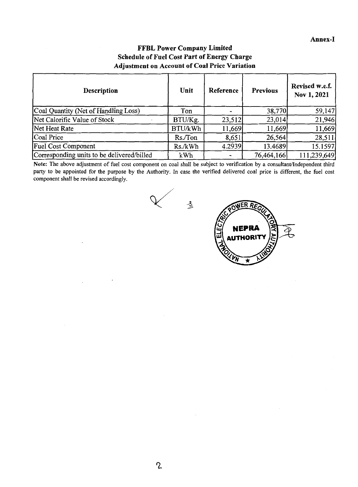### FFBL Power Company Limited Schedule of Fuel Cost Part of Energy Charge Adjustment on Account of Coal Price Variation

| <b>Description</b>                         | Unit    | Reference | <b>Previous</b> | Revised w.e.f.<br>Nov 1, 2021 |
|--------------------------------------------|---------|-----------|-----------------|-------------------------------|
| Coal Quantity (Net of Handling Loss)       | Ton     |           | 38,770          | 59,147                        |
| Net Calorific Value of Stock               | BTU/Kg. | 23,512    | 23,014          | 21,946                        |
| Net Heat Rate                              | BTU/kWh | 11,669    | 11,669          | 11,669                        |
| Coal Price                                 | Rs./Ton | 8,651     | 26,564          | 28,511                        |
| <b>Fuel Cost Component</b>                 | Rs./kWh | 4.2939    | 13.4689         | 15.1597                       |
| Corresponding units to be delivered/billed | kWh     |           | 76,464,166      | 111,239,649                   |

Note: The above adjustment of fuel cost component on coal shall be subject to verification by a consultant/Independent third party to be appointed for the purpose by the Authority. In case the verified delivered coal price is different, the fuel cost component shall be revised accordingly.



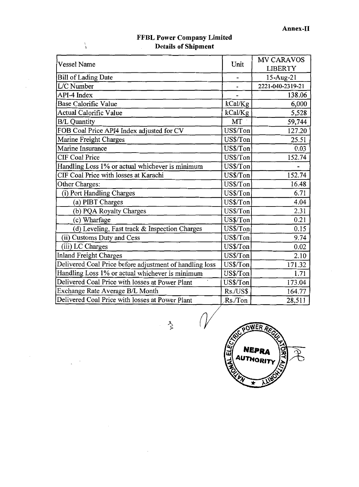| <b>Vessel Name</b>                                      | Unit      | <b>MV CARAVOS</b> |
|---------------------------------------------------------|-----------|-------------------|
|                                                         |           | <b>LIBERTY</b>    |
| Bill of Lading Date                                     |           | 15-Aug-21         |
| L/C Number                                              |           | 2221-040-2319-21  |
| API-4 Index                                             |           | 138.06            |
| Base Calorific Value                                    | kCal/Kg   | 6,000             |
| <b>Actual Calorific Value</b>                           | kCal/Kg   | 5,528             |
| <b>B/L Quantity</b>                                     | MT        | 59,744            |
| FOB Coal Price API4 Index adjusted for CV               | US\$/Ton  | 127.20            |
| Marine Freight Charges                                  | US\$/Ton  | 25.51             |
| Marine Insurance                                        | US\$/Ton  | 0.03              |
| <b>CIF Coal Price</b>                                   | US\$/Ton  | 152.74            |
| Handling Loss 1% or actual whichever is minimum         | US\$/Ton  |                   |
| CIF Coal Price with losses at Karachi                   | US\$/Ton  | 152.74            |
| Other Charges:                                          | US\$/Ton  | 16.48             |
| (i) Port Handling Charges                               | US\$/Ton  | 6.71              |
| (a) PIBT Charges                                        | US\$/Ton  | 4.04              |
| (b) PQA Royalty Charges                                 | US\$/Ton  | 2.31              |
| (c) Wharfage                                            | US\$/Ton  | 0.21              |
| (d) Leveling, Fast track & Inspection Charges           | US\$/Ton  | 0.15              |
| (ii) Customs Duty and Cess                              | US\$/Ton  | 9.74              |
| (iii) LC Charges                                        | US\$/Ton  | 0.02              |
| <b>Inland Freight Charges</b>                           | US\$/Ton  | 2.10              |
| Delivered Coal Price before adjustment of handling loss | US\$/Ton  | 171.32            |
| Handling Loss 1% or actual whichever is minimum         | US\$/Ton  | 1.71              |
| Delivered Coal Price with losses at Power Plant         | US\$/Ton  | 173.04            |
| Exchange Rate Average B/L Month                         | Rs./US\$  | 164.77            |
| Delivered Coal Price with losses at Power Plant         | $Rs/T$ on | 28,511            |

 $\overline{\phantom{a}}$ 

 $\ddot{\phantom{a}}$ 

 $\bar{z}$ 

#### **FFBL Power Company Limited Details of Shipment**

\

 $\bar{z}$ 

 $\bar{z}$ 

 $\frac{3}{2}$   $\sqrt{V}$ **ELE NEPRA AUTHORIT**